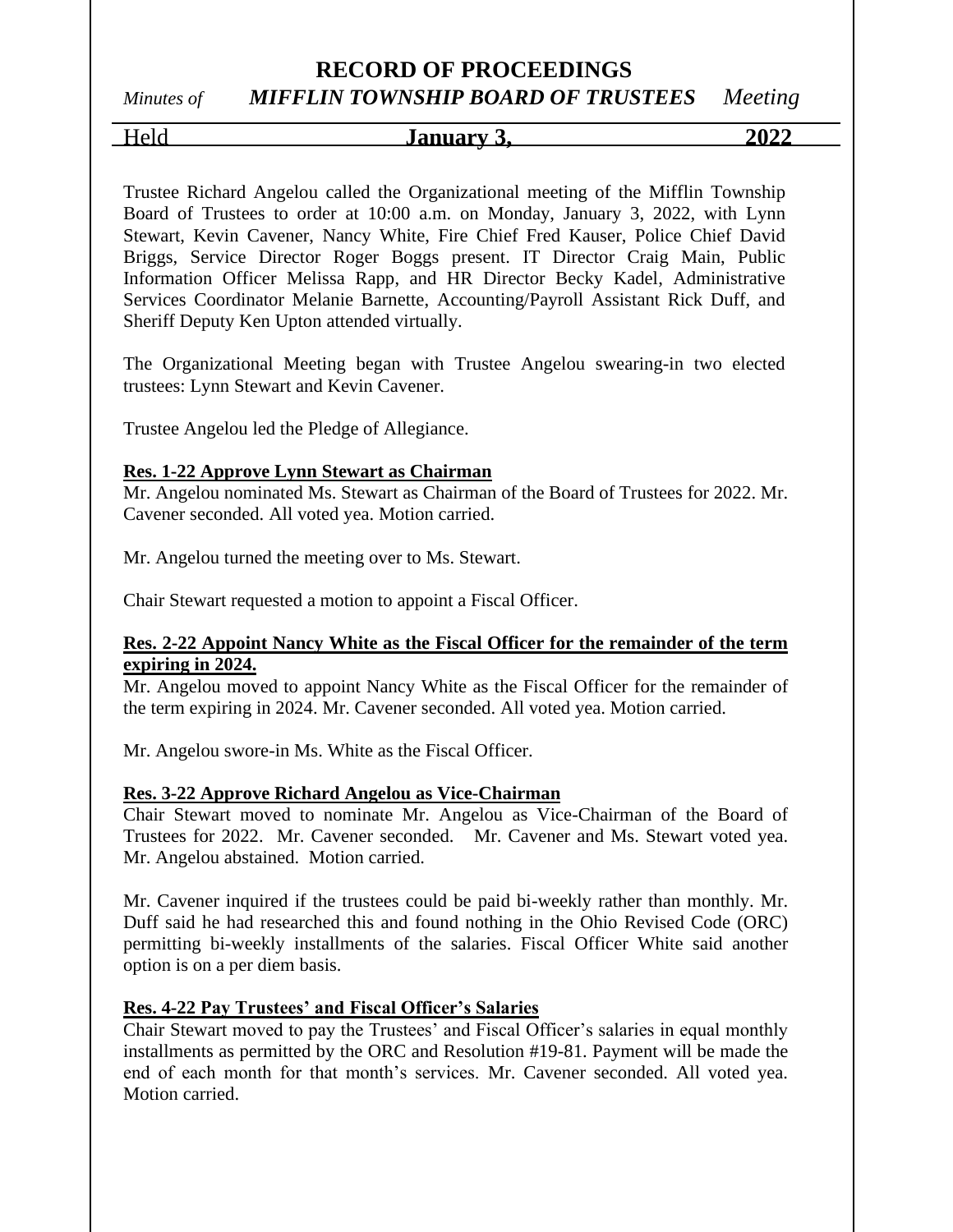# *Minutes of MIFFLIN TOWNSHIP BOARD OF TRUSTEES Meeting*

Held **January 3, 2022**

Trustee Richard Angelou called the Organizational meeting of the Mifflin Township Board of Trustees to order at 10:00 a.m. on Monday, January 3, 2022, with Lynn Stewart, Kevin Cavener, Nancy White, Fire Chief Fred Kauser, Police Chief David Briggs, Service Director Roger Boggs present. IT Director Craig Main, Public Information Officer Melissa Rapp, and HR Director Becky Kadel, Administrative Services Coordinator Melanie Barnette, Accounting/Payroll Assistant Rick Duff, and Sheriff Deputy Ken Upton attended virtually.

The Organizational Meeting began with Trustee Angelou swearing-in two elected trustees: Lynn Stewart and Kevin Cavener.

Trustee Angelou led the Pledge of Allegiance.

#### **Res. 1-22 Approve Lynn Stewart as Chairman**

Mr. Angelou nominated Ms. Stewart as Chairman of the Board of Trustees for 2022. Mr. Cavener seconded. All voted yea. Motion carried.

Mr. Angelou turned the meeting over to Ms. Stewart.

Chair Stewart requested a motion to appoint a Fiscal Officer.

#### **Res. 2-22 Appoint Nancy White as the Fiscal Officer for the remainder of the term expiring in 2024.**

Mr. Angelou moved to appoint Nancy White as the Fiscal Officer for the remainder of the term expiring in 2024. Mr. Cavener seconded. All voted yea. Motion carried.

Mr. Angelou swore-in Ms. White as the Fiscal Officer.

#### **Res. 3-22 Approve Richard Angelou as Vice-Chairman**

Chair Stewart moved to nominate Mr. Angelou as Vice-Chairman of the Board of Trustees for 2022. Mr. Cavener seconded. Mr. Cavener and Ms. Stewart voted yea. Mr. Angelou abstained. Motion carried.

Mr. Cavener inquired if the trustees could be paid bi-weekly rather than monthly. Mr. Duff said he had researched this and found nothing in the Ohio Revised Code (ORC) permitting bi-weekly installments of the salaries. Fiscal Officer White said another option is on a per diem basis.

#### **Res. 4-22 Pay Trustees' and Fiscal Officer's Salaries**

Chair Stewart moved to pay the Trustees' and Fiscal Officer's salaries in equal monthly installments as permitted by the ORC and Resolution #19-81. Payment will be made the end of each month for that month's services. Mr. Cavener seconded. All voted yea. Motion carried.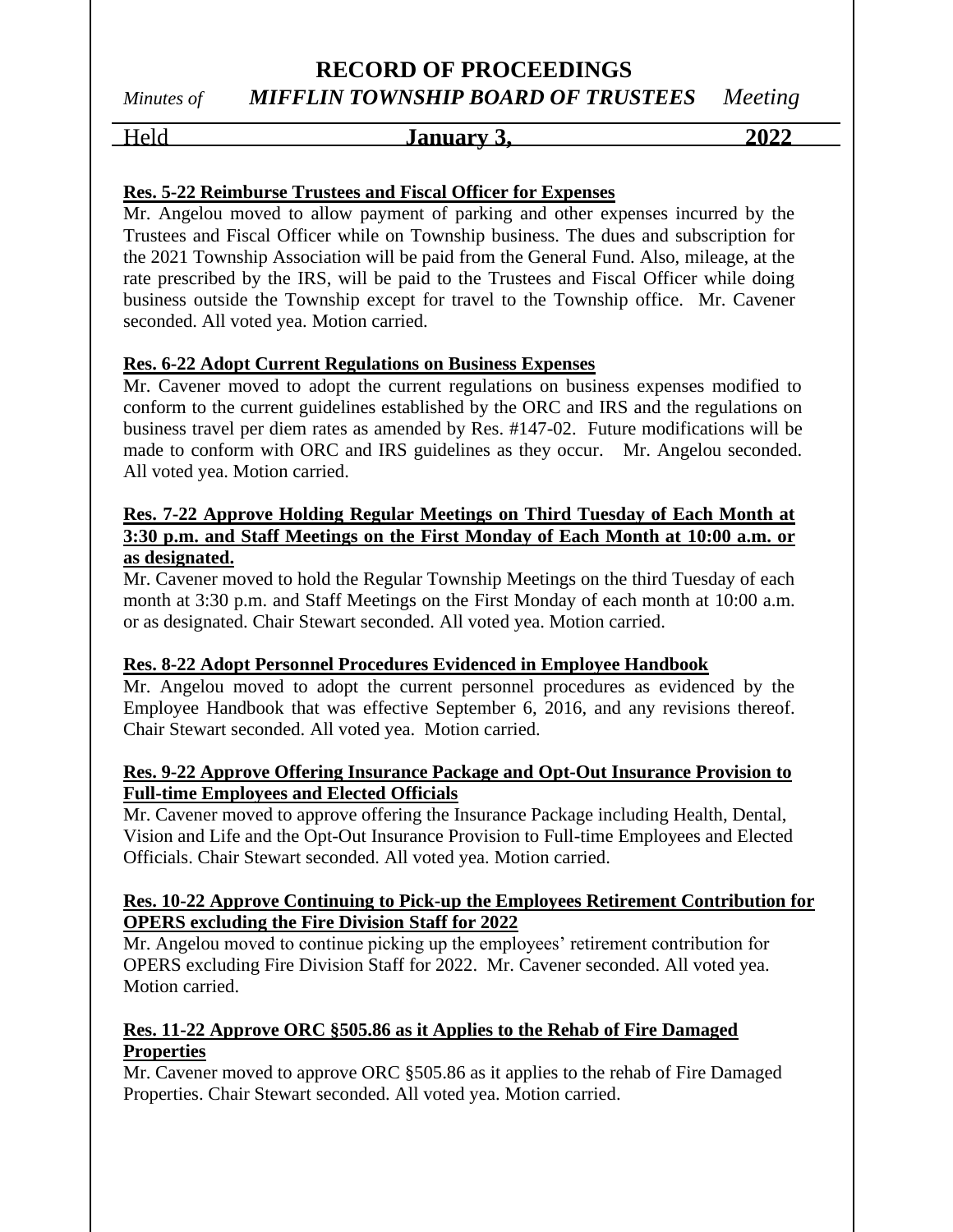### **RECORD OF PROCEEDINGS** *Minutes of MIFFLIN TOWNSHIP BOARD OF TRUSTEES Meeting*

#### Held **January 3, 2022**

#### **Res. 5-22 Reimburse Trustees and Fiscal Officer for Expenses**

Mr. Angelou moved to allow payment of parking and other expenses incurred by the Trustees and Fiscal Officer while on Township business. The dues and subscription for the 2021 Township Association will be paid from the General Fund. Also, mileage, at the rate prescribed by the IRS, will be paid to the Trustees and Fiscal Officer while doing business outside the Township except for travel to the Township office. Mr. Cavener seconded. All voted yea. Motion carried.

#### **Res. 6-22 Adopt Current Regulations on Business Expenses**

Mr. Cavener moved to adopt the current regulations on business expenses modified to conform to the current guidelines established by the ORC and IRS and the regulations on business travel per diem rates as amended by Res. #147-02. Future modifications will be made to conform with ORC and IRS guidelines as they occur. Mr. Angelou seconded. All voted yea. Motion carried.

#### **Res. 7-22 Approve Holding Regular Meetings on Third Tuesday of Each Month at 3:30 p.m. and Staff Meetings on the First Monday of Each Month at 10:00 a.m. or as designated.**

Mr. Cavener moved to hold the Regular Township Meetings on the third Tuesday of each month at 3:30 p.m. and Staff Meetings on the First Monday of each month at 10:00 a.m. or as designated. Chair Stewart seconded. All voted yea. Motion carried.

#### **Res. 8-22 Adopt Personnel Procedures Evidenced in Employee Handbook**

Mr. Angelou moved to adopt the current personnel procedures as evidenced by the Employee Handbook that was effective September 6, 2016, and any revisions thereof. Chair Stewart seconded. All voted yea. Motion carried.

#### **Res. 9-22 Approve Offering Insurance Package and Opt-Out Insurance Provision to Full-time Employees and Elected Officials**

Mr. Cavener moved to approve offering the Insurance Package including Health, Dental, Vision and Life and the Opt-Out Insurance Provision to Full-time Employees and Elected Officials. Chair Stewart seconded. All voted yea. Motion carried.

#### **Res. 10-22 Approve Continuing to Pick-up the Employees Retirement Contribution for OPERS excluding the Fire Division Staff for 2022**

Mr. Angelou moved to continue picking up the employees' retirement contribution for OPERS excluding Fire Division Staff for 2022. Mr. Cavener seconded. All voted yea. Motion carried.

#### **Res. 11-22 Approve ORC §505.86 as it Applies to the Rehab of Fire Damaged Properties**

Mr. Cavener moved to approve ORC §505.86 as it applies to the rehab of Fire Damaged Properties. Chair Stewart seconded. All voted yea. Motion carried.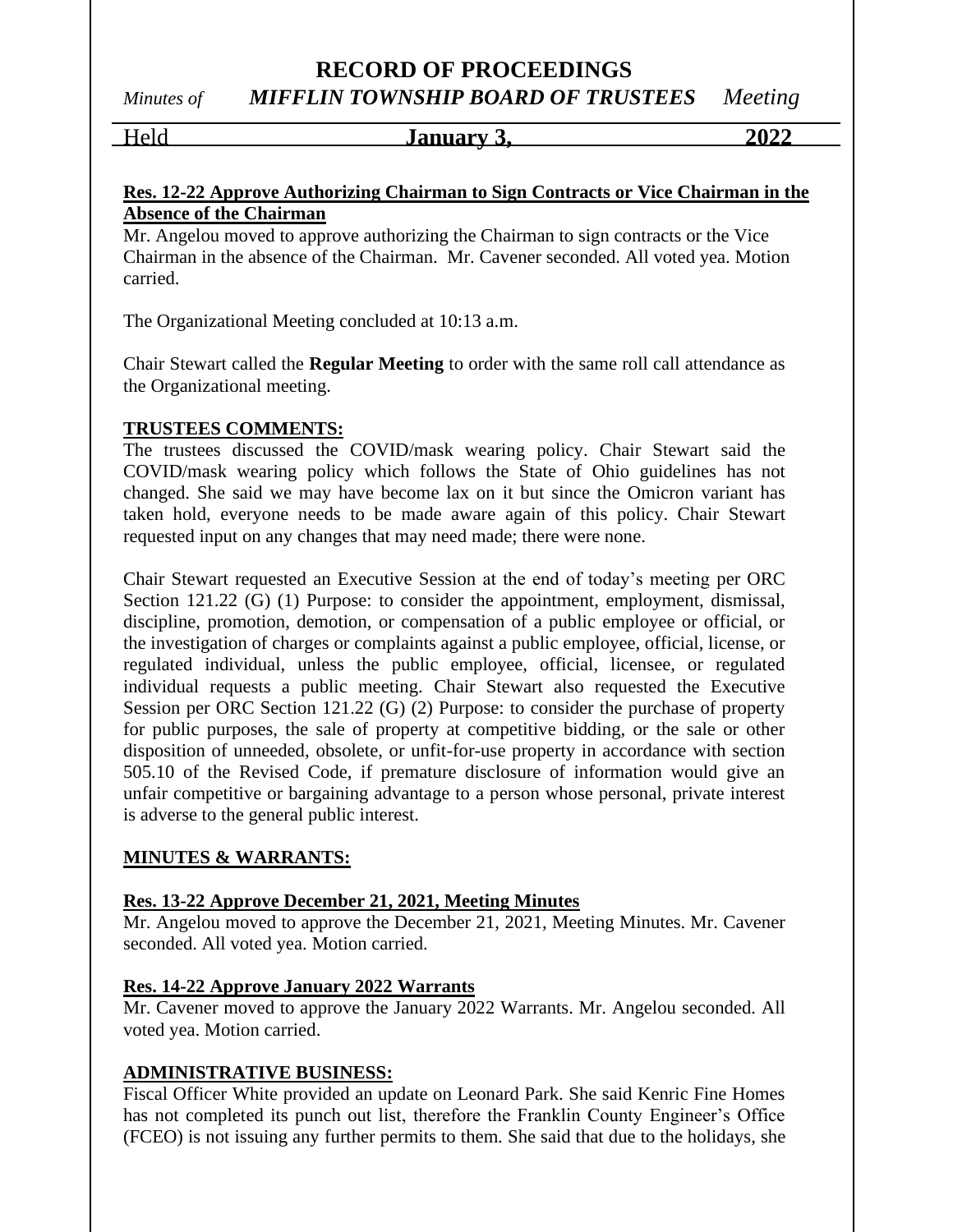*Minutes of MIFFLIN TOWNSHIP BOARD OF TRUSTEES Meeting*

Held **January 3, 2022**

#### **Res. 12-22 Approve Authorizing Chairman to Sign Contracts or Vice Chairman in the Absence of the Chairman**

Mr. Angelou moved to approve authorizing the Chairman to sign contracts or the Vice Chairman in the absence of the Chairman. Mr. Cavener seconded. All voted yea. Motion carried.

The Organizational Meeting concluded at 10:13 a.m.

Chair Stewart called the **Regular Meeting** to order with the same roll call attendance as the Organizational meeting.

#### **TRUSTEES COMMENTS:**

The trustees discussed the COVID/mask wearing policy. Chair Stewart said the COVID/mask wearing policy which follows the State of Ohio guidelines has not changed. She said we may have become lax on it but since the Omicron variant has taken hold, everyone needs to be made aware again of this policy. Chair Stewart requested input on any changes that may need made; there were none.

Chair Stewart requested an Executive Session at the end of today's meeting per ORC Section 121.22 (G) (1) Purpose: to consider the appointment, employment, dismissal, discipline, promotion, demotion, or compensation of a public employee or official, or the investigation of charges or complaints against a public employee, official, license, or regulated individual, unless the public employee, official, licensee, or regulated individual requests a public meeting. Chair Stewart also requested the Executive Session per ORC Section 121.22 (G) (2) Purpose: to consider the purchase of property for public purposes, the sale of property at competitive bidding, or the sale or other disposition of unneeded, obsolete, or unfit-for-use property in accordance with section 505.10 of the Revised Code, if premature disclosure of information would give an unfair competitive or bargaining advantage to a person whose personal, private interest is adverse to the general public interest.

#### **MINUTES & WARRANTS:**

#### **Res. 13-22 Approve December 21, 2021, Meeting Minutes**

Mr. Angelou moved to approve the December 21, 2021, Meeting Minutes. Mr. Cavener seconded. All voted yea. Motion carried.

#### **Res. 14-22 Approve January 2022 Warrants**

Mr. Cavener moved to approve the January 2022 Warrants. Mr. Angelou seconded. All voted yea. Motion carried.

#### **ADMINISTRATIVE BUSINESS:**

Fiscal Officer White provided an update on Leonard Park. She said Kenric Fine Homes has not completed its punch out list, therefore the Franklin County Engineer's Office (FCEO) is not issuing any further permits to them. She said that due to the holidays, she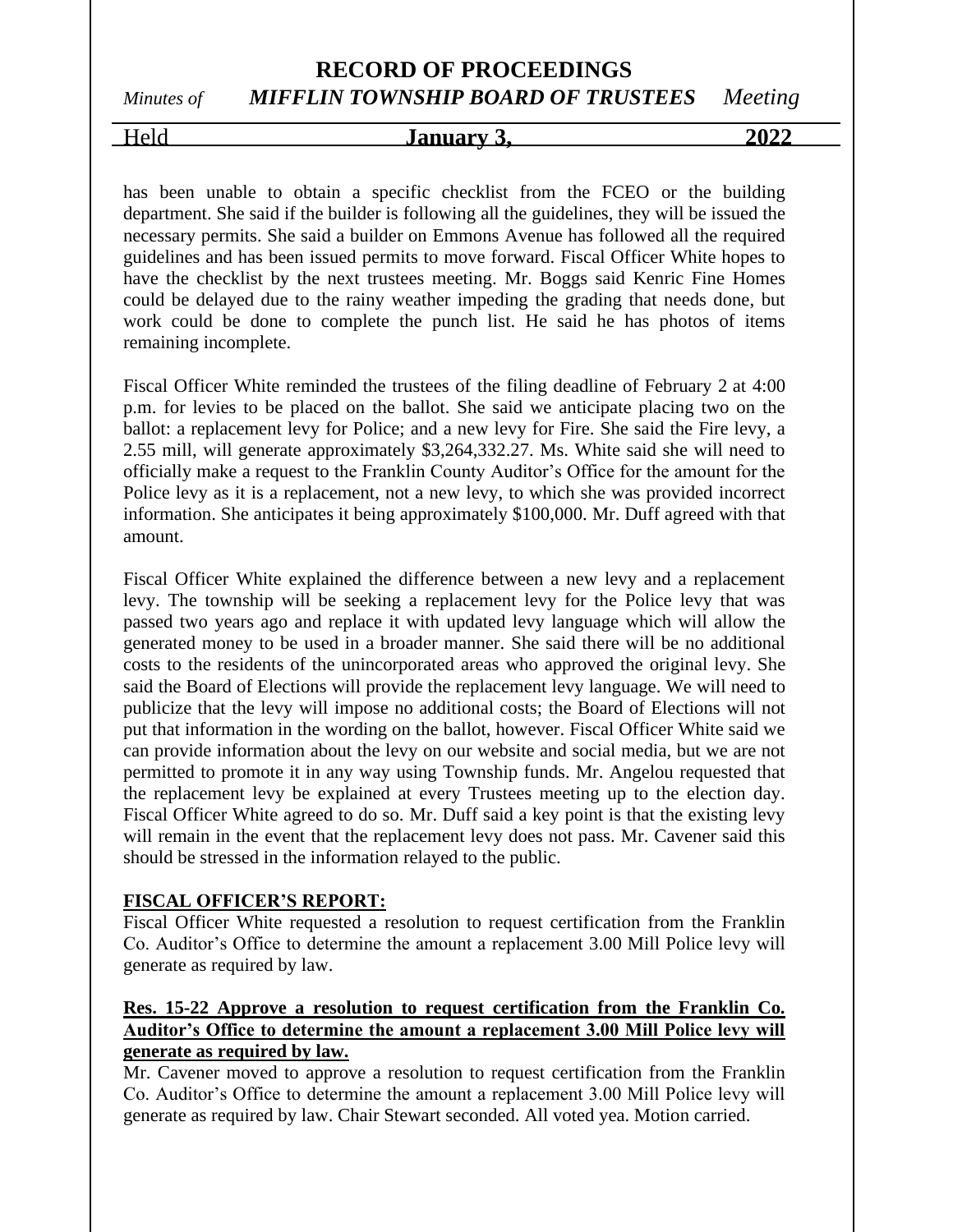### **RECORD OF PROCEEDINGS** *Minutes of MIFFLIN TOWNSHIP BOARD OF TRUSTEES Meeting*

# Held **January 3, 2022**

has been unable to obtain a specific checklist from the FCEO or the building department. She said if the builder is following all the guidelines, they will be issued the necessary permits. She said a builder on Emmons Avenue has followed all the required guidelines and has been issued permits to move forward. Fiscal Officer White hopes to have the checklist by the next trustees meeting. Mr. Boggs said Kenric Fine Homes could be delayed due to the rainy weather impeding the grading that needs done, but work could be done to complete the punch list. He said he has photos of items remaining incomplete.

Fiscal Officer White reminded the trustees of the filing deadline of February 2 at 4:00 p.m. for levies to be placed on the ballot. She said we anticipate placing two on the ballot: a replacement levy for Police; and a new levy for Fire. She said the Fire levy, a 2.55 mill, will generate approximately \$3,264,332.27. Ms. White said she will need to officially make a request to the Franklin County Auditor's Office for the amount for the Police levy as it is a replacement, not a new levy, to which she was provided incorrect information. She anticipates it being approximately \$100,000. Mr. Duff agreed with that amount.

Fiscal Officer White explained the difference between a new levy and a replacement levy. The township will be seeking a replacement levy for the Police levy that was passed two years ago and replace it with updated levy language which will allow the generated money to be used in a broader manner. She said there will be no additional costs to the residents of the unincorporated areas who approved the original levy. She said the Board of Elections will provide the replacement levy language. We will need to publicize that the levy will impose no additional costs; the Board of Elections will not put that information in the wording on the ballot, however. Fiscal Officer White said we can provide information about the levy on our website and social media, but we are not permitted to promote it in any way using Township funds. Mr. Angelou requested that the replacement levy be explained at every Trustees meeting up to the election day. Fiscal Officer White agreed to do so. Mr. Duff said a key point is that the existing levy will remain in the event that the replacement levy does not pass. Mr. Cavener said this should be stressed in the information relayed to the public.

#### **FISCAL OFFICER'S REPORT:**

Fiscal Officer White requested a resolution to request certification from the Franklin Co. Auditor's Office to determine the amount a replacement 3.00 Mill Police levy will generate as required by law.

#### **Res. 15-22 Approve a resolution to request certification from the Franklin Co. Auditor's Office to determine the amount a replacement 3.00 Mill Police levy will generate as required by law.**

Mr. Cavener moved to approve a resolution to request certification from the Franklin Co. Auditor's Office to determine the amount a replacement 3.00 Mill Police levy will generate as required by law. Chair Stewart seconded. All voted yea. Motion carried.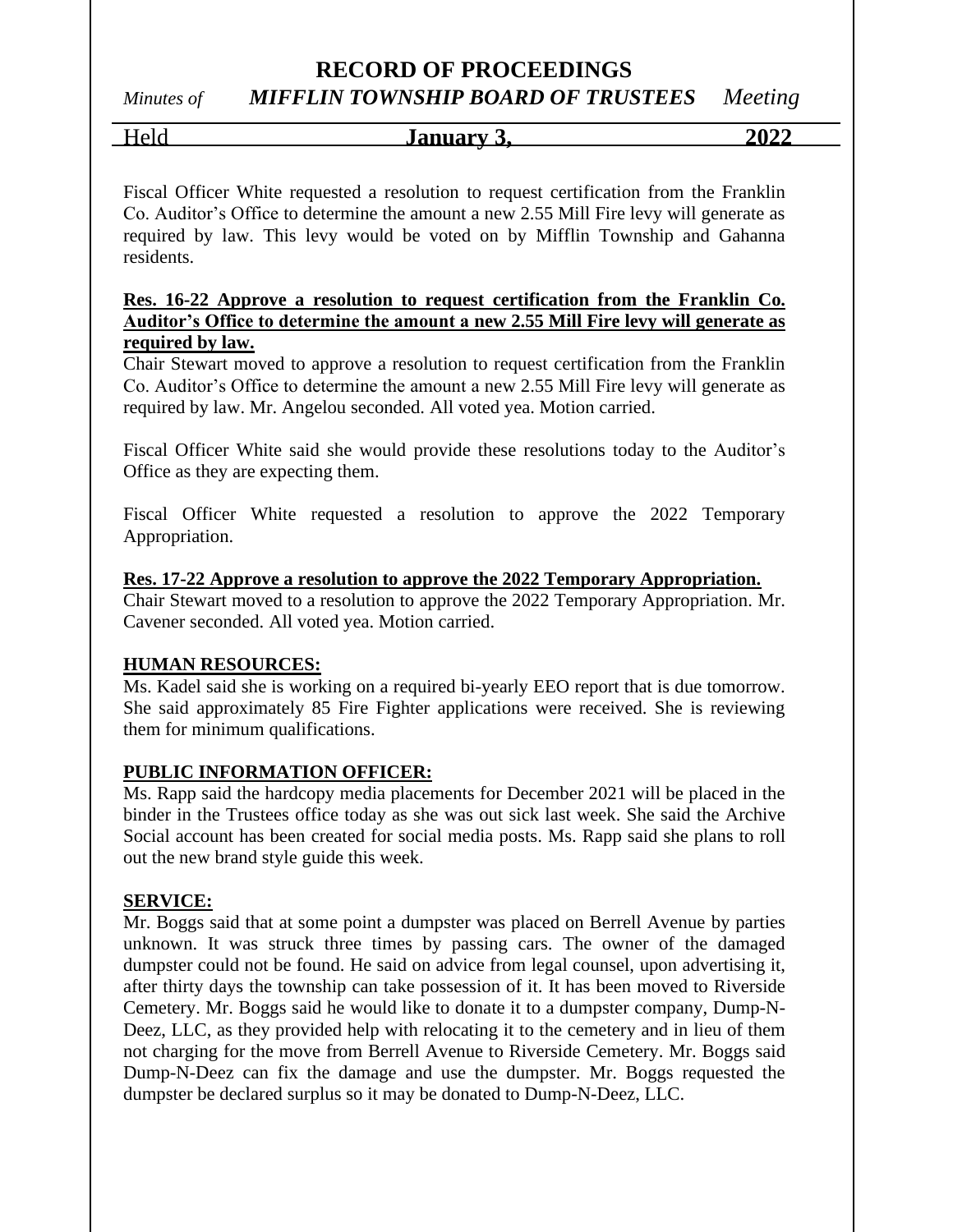# *Minutes of MIFFLIN TOWNSHIP BOARD OF TRUSTEES Meeting*

Held **January 3, 2022**

Fiscal Officer White requested a resolution to request certification from the Franklin Co. Auditor's Office to determine the amount a new 2.55 Mill Fire levy will generate as required by law. This levy would be voted on by Mifflin Township and Gahanna residents.

#### **Res. 16-22 Approve a resolution to request certification from the Franklin Co. Auditor's Office to determine the amount a new 2.55 Mill Fire levy will generate as required by law.**

Chair Stewart moved to approve a resolution to request certification from the Franklin Co. Auditor's Office to determine the amount a new 2.55 Mill Fire levy will generate as required by law. Mr. Angelou seconded. All voted yea. Motion carried.

Fiscal Officer White said she would provide these resolutions today to the Auditor's Office as they are expecting them.

Fiscal Officer White requested a resolution to approve the 2022 Temporary Appropriation.

#### **Res. 17-22 Approve a resolution to approve the 2022 Temporary Appropriation.**

Chair Stewart moved to a resolution to approve the 2022 Temporary Appropriation. Mr. Cavener seconded. All voted yea. Motion carried.

#### **HUMAN RESOURCES:**

Ms. Kadel said she is working on a required bi-yearly EEO report that is due tomorrow. She said approximately 85 Fire Fighter applications were received. She is reviewing them for minimum qualifications.

#### **PUBLIC INFORMATION OFFICER:**

Ms. Rapp said the hardcopy media placements for December 2021 will be placed in the binder in the Trustees office today as she was out sick last week. She said the Archive Social account has been created for social media posts. Ms. Rapp said she plans to roll out the new brand style guide this week.

#### **SERVICE:**

Mr. Boggs said that at some point a dumpster was placed on Berrell Avenue by parties unknown. It was struck three times by passing cars. The owner of the damaged dumpster could not be found. He said on advice from legal counsel, upon advertising it, after thirty days the township can take possession of it. It has been moved to Riverside Cemetery. Mr. Boggs said he would like to donate it to a dumpster company, Dump-N-Deez, LLC, as they provided help with relocating it to the cemetery and in lieu of them not charging for the move from Berrell Avenue to Riverside Cemetery. Mr. Boggs said Dump-N-Deez can fix the damage and use the dumpster. Mr. Boggs requested the dumpster be declared surplus so it may be donated to Dump-N-Deez, LLC.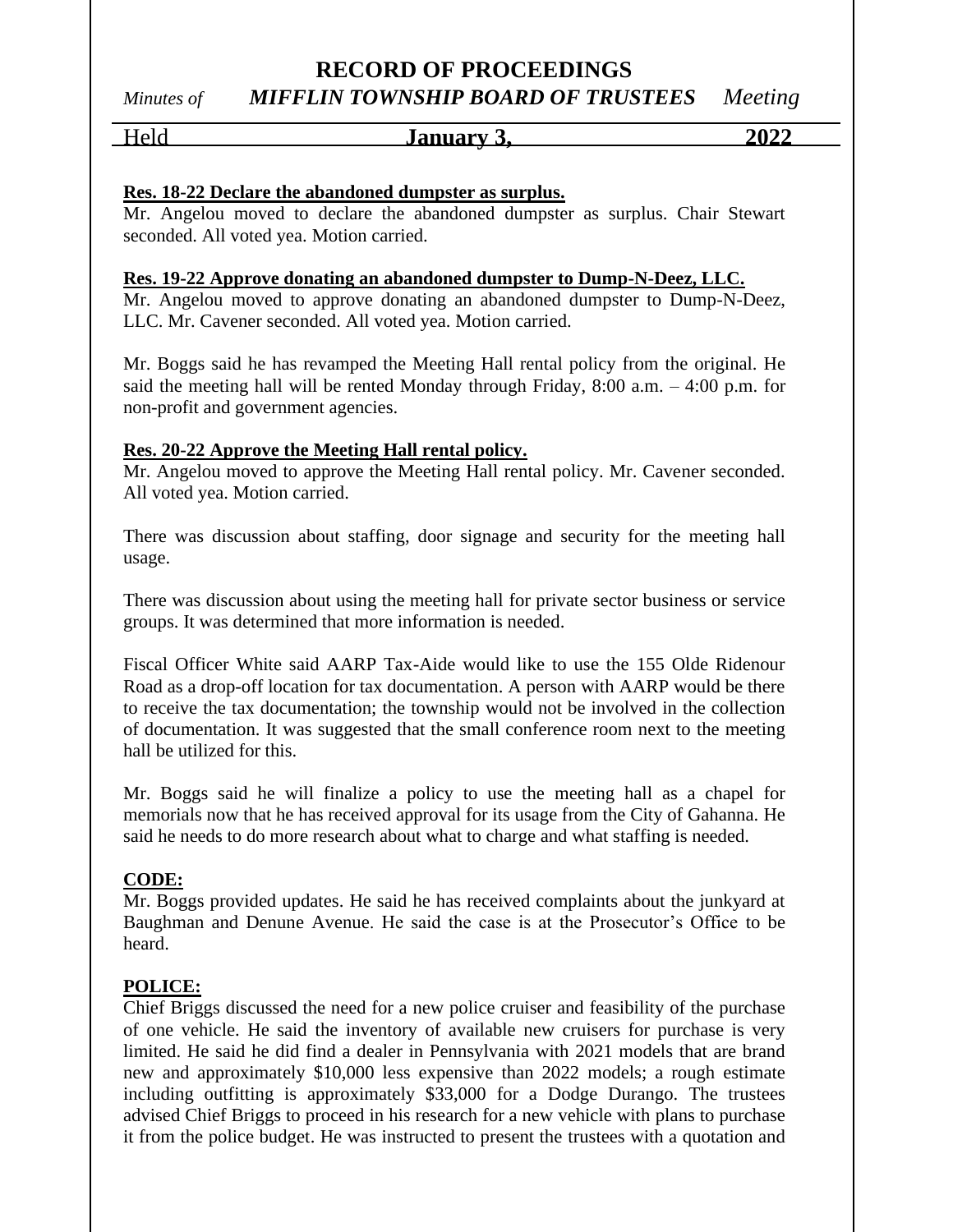# *Minutes of MIFFLIN TOWNSHIP BOARD OF TRUSTEES Meeting*

# Held **January 3, 2022**

#### **Res. 18-22 Declare the abandoned dumpster as surplus.**

Mr. Angelou moved to declare the abandoned dumpster as surplus. Chair Stewart seconded. All voted yea. Motion carried.

#### **Res. 19-22 Approve donating an abandoned dumpster to Dump-N-Deez, LLC.**

Mr. Angelou moved to approve donating an abandoned dumpster to Dump-N-Deez, LLC. Mr. Cavener seconded. All voted yea. Motion carried.

Mr. Boggs said he has revamped the Meeting Hall rental policy from the original. He said the meeting hall will be rented Monday through Friday, 8:00 a.m. – 4:00 p.m. for non-profit and government agencies.

#### **Res. 20-22 Approve the Meeting Hall rental policy.**

Mr. Angelou moved to approve the Meeting Hall rental policy. Mr. Cavener seconded. All voted yea. Motion carried.

There was discussion about staffing, door signage and security for the meeting hall usage.

There was discussion about using the meeting hall for private sector business or service groups. It was determined that more information is needed.

Fiscal Officer White said AARP Tax-Aide would like to use the 155 Olde Ridenour Road as a drop-off location for tax documentation. A person with AARP would be there to receive the tax documentation; the township would not be involved in the collection of documentation. It was suggested that the small conference room next to the meeting hall be utilized for this.

Mr. Boggs said he will finalize a policy to use the meeting hall as a chapel for memorials now that he has received approval for its usage from the City of Gahanna. He said he needs to do more research about what to charge and what staffing is needed.

#### **CODE:**

Mr. Boggs provided updates. He said he has received complaints about the junkyard at Baughman and Denune Avenue. He said the case is at the Prosecutor's Office to be heard.

#### **POLICE:**

Chief Briggs discussed the need for a new police cruiser and feasibility of the purchase of one vehicle. He said the inventory of available new cruisers for purchase is very limited. He said he did find a dealer in Pennsylvania with 2021 models that are brand new and approximately \$10,000 less expensive than 2022 models; a rough estimate including outfitting is approximately \$33,000 for a Dodge Durango. The trustees advised Chief Briggs to proceed in his research for a new vehicle with plans to purchase it from the police budget. He was instructed to present the trustees with a quotation and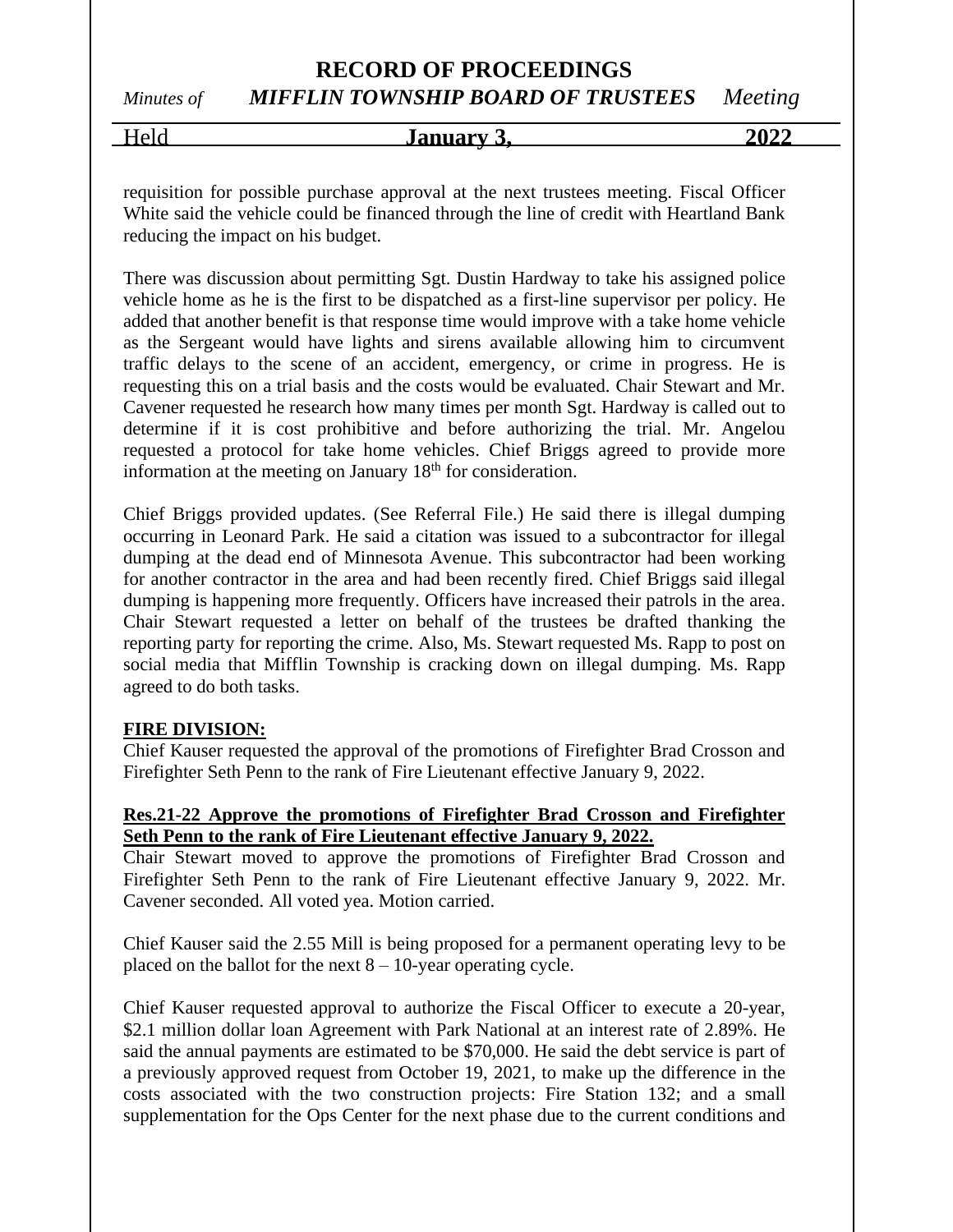### **RECORD OF PROCEEDINGS** *Minutes of MIFFLIN TOWNSHIP BOARD OF TRUSTEES Meeting*

Held **January 3, 2022**

requisition for possible purchase approval at the next trustees meeting. Fiscal Officer White said the vehicle could be financed through the line of credit with Heartland Bank reducing the impact on his budget.

There was discussion about permitting Sgt. Dustin Hardway to take his assigned police vehicle home as he is the first to be dispatched as a first-line supervisor per policy. He added that another benefit is that response time would improve with a take home vehicle as the Sergeant would have lights and sirens available allowing him to circumvent traffic delays to the scene of an accident, emergency, or crime in progress. He is requesting this on a trial basis and the costs would be evaluated. Chair Stewart and Mr. Cavener requested he research how many times per month Sgt. Hardway is called out to determine if it is cost prohibitive and before authorizing the trial. Mr. Angelou requested a protocol for take home vehicles. Chief Briggs agreed to provide more information at the meeting on January  $18<sup>th</sup>$  for consideration.

Chief Briggs provided updates. (See Referral File.) He said there is illegal dumping occurring in Leonard Park. He said a citation was issued to a subcontractor for illegal dumping at the dead end of Minnesota Avenue. This subcontractor had been working for another contractor in the area and had been recently fired. Chief Briggs said illegal dumping is happening more frequently. Officers have increased their patrols in the area. Chair Stewart requested a letter on behalf of the trustees be drafted thanking the reporting party for reporting the crime. Also, Ms. Stewart requested Ms. Rapp to post on social media that Mifflin Township is cracking down on illegal dumping. Ms. Rapp agreed to do both tasks.

#### **FIRE DIVISION:**

Chief Kauser requested the approval of the promotions of Firefighter Brad Crosson and Firefighter Seth Penn to the rank of Fire Lieutenant effective January 9, 2022.

#### **Res.21-22 Approve the promotions of Firefighter Brad Crosson and Firefighter Seth Penn to the rank of Fire Lieutenant effective January 9, 2022.**

Chair Stewart moved to approve the promotions of Firefighter Brad Crosson and Firefighter Seth Penn to the rank of Fire Lieutenant effective January 9, 2022. Mr. Cavener seconded. All voted yea. Motion carried.

Chief Kauser said the 2.55 Mill is being proposed for a permanent operating levy to be placed on the ballot for the next  $8 - 10$ -year operating cycle.

Chief Kauser requested approval to authorize the Fiscal Officer to execute a 20-year, \$2.1 million dollar loan Agreement with Park National at an interest rate of 2.89%. He said the annual payments are estimated to be \$70,000. He said the debt service is part of a previously approved request from October 19, 2021, to make up the difference in the costs associated with the two construction projects: Fire Station 132; and a small supplementation for the Ops Center for the next phase due to the current conditions and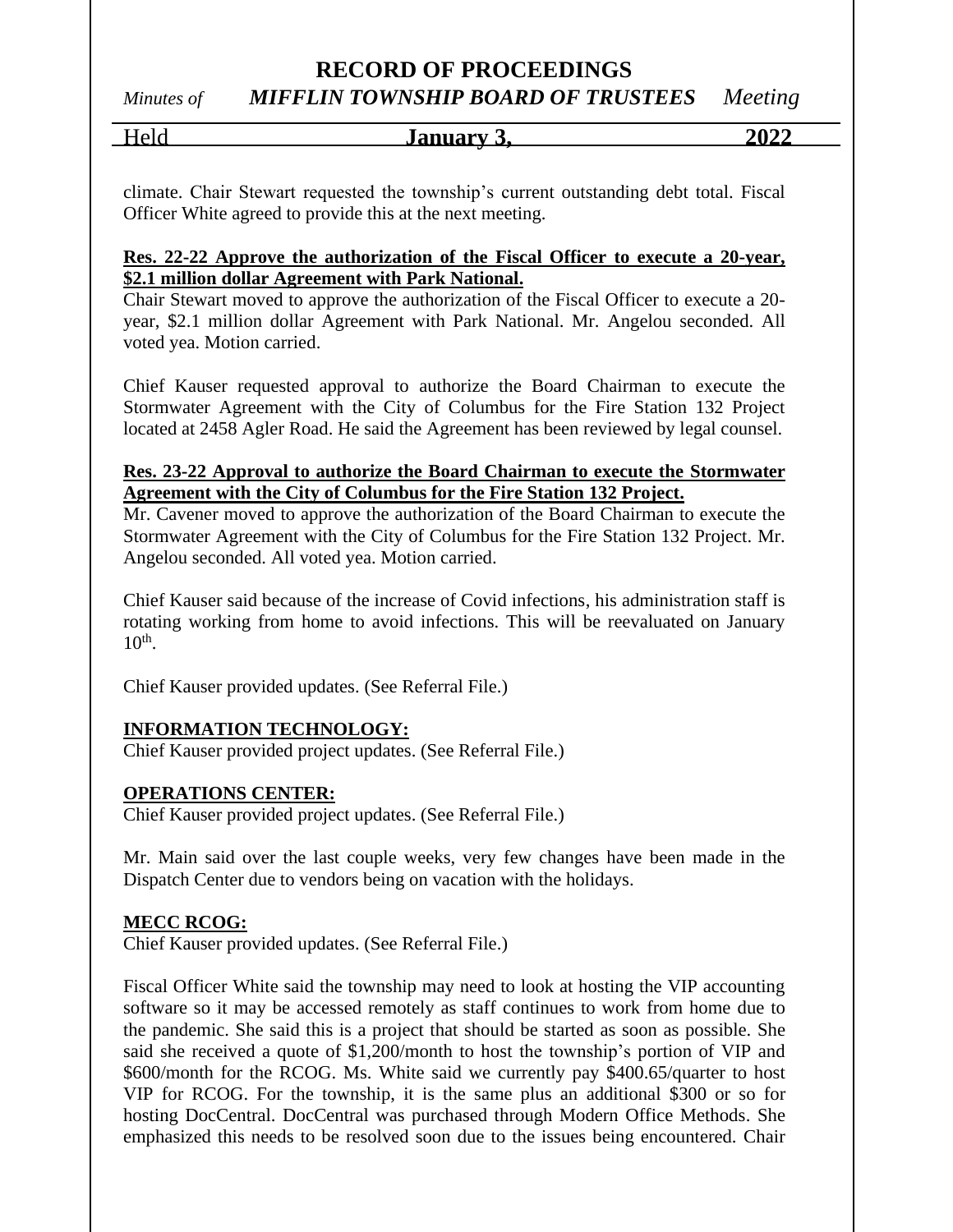*Minutes of MIFFLIN TOWNSHIP BOARD OF TRUSTEES Meeting*

| $ -$<br>$\sim$<br>∽<br>$\sim$ | <b>Januar</b> y | $\mathbf{A}$<br>20<br>. |
|-------------------------------|-----------------|-------------------------|
|                               |                 |                         |

climate. Chair Stewart requested the township's current outstanding debt total. Fiscal Officer White agreed to provide this at the next meeting.

#### **Res. 22-22 Approve the authorization of the Fiscal Officer to execute a 20-year, \$2.1 million dollar Agreement with Park National.**

Chair Stewart moved to approve the authorization of the Fiscal Officer to execute a 20 year, \$2.1 million dollar Agreement with Park National. Mr. Angelou seconded. All voted yea. Motion carried.

Chief Kauser requested approval to authorize the Board Chairman to execute the Stormwater Agreement with the City of Columbus for the Fire Station 132 Project located at 2458 Agler Road. He said the Agreement has been reviewed by legal counsel.

#### **Res. 23-22 Approval to authorize the Board Chairman to execute the Stormwater Agreement with the City of Columbus for the Fire Station 132 Project.**

Mr. Cavener moved to approve the authorization of the Board Chairman to execute the Stormwater Agreement with the City of Columbus for the Fire Station 132 Project. Mr. Angelou seconded. All voted yea. Motion carried.

Chief Kauser said because of the increase of Covid infections, his administration staff is rotating working from home to avoid infections. This will be reevaluated on January  $10<sup>th</sup>$ .

Chief Kauser provided updates. (See Referral File.)

#### **INFORMATION TECHNOLOGY:**

Chief Kauser provided project updates. (See Referral File.)

#### **OPERATIONS CENTER:**

Chief Kauser provided project updates. (See Referral File.)

Mr. Main said over the last couple weeks, very few changes have been made in the Dispatch Center due to vendors being on vacation with the holidays.

#### **MECC RCOG:**

Chief Kauser provided updates. (See Referral File.)

Fiscal Officer White said the township may need to look at hosting the VIP accounting software so it may be accessed remotely as staff continues to work from home due to the pandemic. She said this is a project that should be started as soon as possible. She said she received a quote of \$1,200/month to host the township's portion of VIP and \$600/month for the RCOG. Ms. White said we currently pay \$400.65/quarter to host VIP for RCOG. For the township, it is the same plus an additional \$300 or so for hosting DocCentral. DocCentral was purchased through Modern Office Methods. She emphasized this needs to be resolved soon due to the issues being encountered. Chair